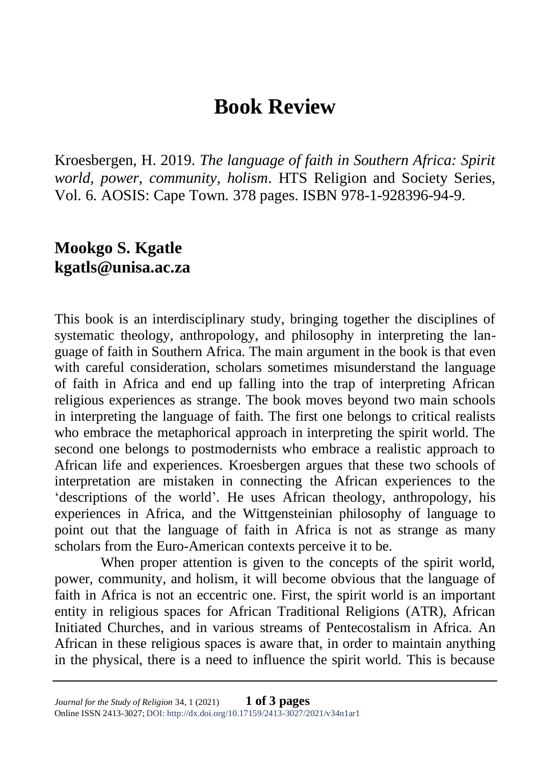## **Book Review**

Kroesbergen, H. 2019. *The language of faith in Southern Africa: Spirit world, power, community, holism*. HTS Religion and Society Series, Vol. 6. AOSIS: Cape Town. 378 pages. ISBN 978-1-928396-94-9.

## **Mookgo S. Kgatle kgatls@unisa.ac.za**

This book is an interdisciplinary study, bringing together the disciplines of systematic theology, anthropology, and philosophy in interpreting the language of faith in Southern Africa. The main argument in the book is that even with careful consideration, scholars sometimes misunderstand the language of faith in Africa and end up falling into the trap of interpreting African religious experiences as strange. The book moves beyond two main schools in interpreting the language of faith. The first one belongs to critical realists who embrace the metaphorical approach in interpreting the spirit world. The second one belongs to postmodernists who embrace a realistic approach to African life and experiences. Kroesbergen argues that these two schools of interpretation are mistaken in connecting the African experiences to the 'descriptions of the world'. He uses African theology, anthropology, his experiences in Africa, and the Wittgensteinian philosophy of language to point out that the language of faith in Africa is not as strange as many scholars from the Euro-American contexts perceive it to be.

When proper attention is given to the concepts of the spirit world. power, community, and holism, it will become obvious that the language of faith in Africa is not an eccentric one. First, the spirit world is an important entity in religious spaces for African Traditional Religions (ATR), African Initiated Churches, and in various streams of Pentecostalism in Africa. An African in these religious spaces is aware that, in order to maintain anything in the physical, there is a need to influence the spirit world. This is because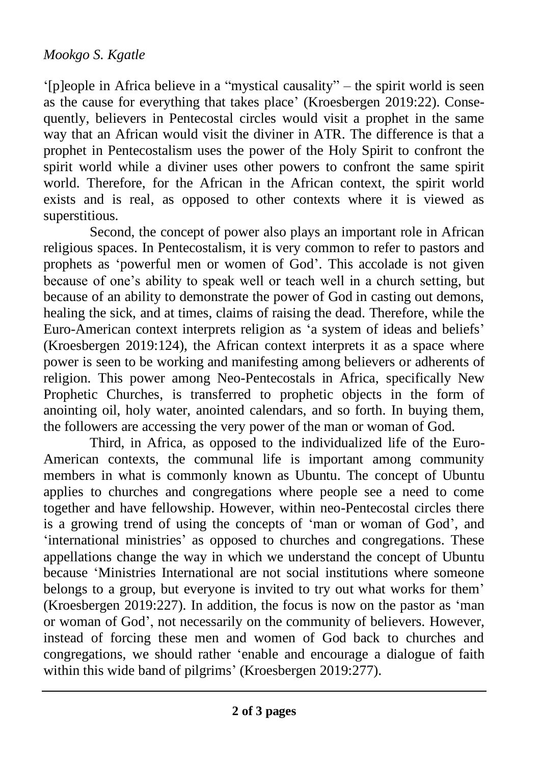## *Mookgo S. Kgatle*

'[p]eople in Africa believe in a "mystical causality" – the spirit world is seen as the cause for everything that takes place' (Kroesbergen 2019:22). Consequently, believers in Pentecostal circles would visit a prophet in the same way that an African would visit the diviner in ATR. The difference is that a prophet in Pentecostalism uses the power of the Holy Spirit to confront the spirit world while a diviner uses other powers to confront the same spirit world. Therefore, for the African in the African context, the spirit world exists and is real, as opposed to other contexts where it is viewed as superstitious.

Second, the concept of power also plays an important role in African religious spaces. In Pentecostalism, it is very common to refer to pastors and prophets as 'powerful men or women of God'. This accolade is not given because of one's ability to speak well or teach well in a church setting, but because of an ability to demonstrate the power of God in casting out demons, healing the sick, and at times, claims of raising the dead. Therefore, while the Euro-American context interprets religion as 'a system of ideas and beliefs' (Kroesbergen 2019:124), the African context interprets it as a space where power is seen to be working and manifesting among believers or adherents of religion. This power among Neo-Pentecostals in Africa, specifically New Prophetic Churches, is transferred to prophetic objects in the form of anointing oil, holy water, anointed calendars, and so forth. In buying them, the followers are accessing the very power of the man or woman of God.

Third, in Africa, as opposed to the individualized life of the Euro-American contexts, the communal life is important among community members in what is commonly known as Ubuntu. The concept of Ubuntu applies to churches and congregations where people see a need to come together and have fellowship. However, within neo-Pentecostal circles there is a growing trend of using the concepts of 'man or woman of God', and 'international ministries' as opposed to churches and congregations. These appellations change the way in which we understand the concept of Ubuntu because 'Ministries International are not social institutions where someone belongs to a group, but everyone is invited to try out what works for them' (Kroesbergen 2019:227). In addition, the focus is now on the pastor as 'man or woman of God', not necessarily on the community of believers. However, instead of forcing these men and women of God back to churches and congregations, we should rather 'enable and encourage a dialogue of faith within this wide band of pilgrims' (Kroesbergen 2019:277).